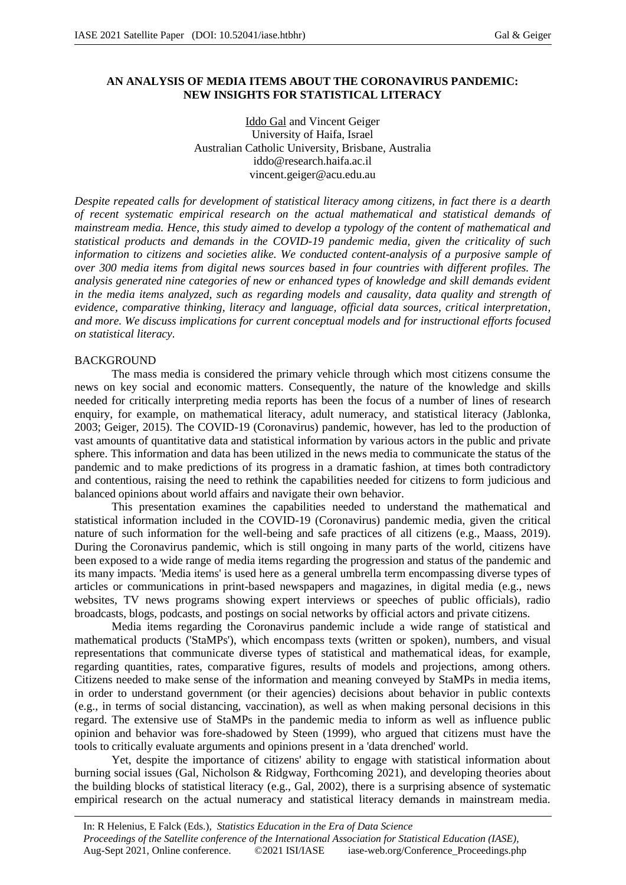# **AN ANALYSIS OF MEDIA ITEMS ABOUT THE CORONAVIRUS PANDEMIC: NEW INSIGHTS FOR STATISTICAL LITERACY**

Iddo Gal and Vincent Geiger University of Haifa, Israel Australian Catholic University, Brisbane, Australia iddo@research.haifa.ac.il vincent.geiger@acu.edu.au

*Despite repeated calls for development of statistical literacy among citizens, in fact there is a dearth of recent systematic empirical research on the actual mathematical and statistical demands of mainstream media. Hence, this study aimed to develop a typology of the content of mathematical and statistical products and demands in the COVID-19 pandemic media, given the criticality of such information to citizens and societies alike. We conducted content-analysis of a purposive sample of over 300 media items from digital news sources based in four countries with different profiles. The analysis generated nine categories of new or enhanced types of knowledge and skill demands evident in the media items analyzed, such as regarding models and causality, data quality and strength of evidence, comparative thinking, literacy and language, official data sources, critical interpretation, and more. We discuss implications for current conceptual models and for instructional efforts focused on statistical literacy.*

## BACKGROUND

The mass media is considered the primary vehicle through which most citizens consume the news on key social and economic matters. Consequently, the nature of the knowledge and skills needed for critically interpreting media reports has been the focus of a number of lines of research enquiry, for example, on mathematical literacy, adult numeracy, and statistical literacy (Jablonka, 2003; Geiger, 2015). The COVID-19 (Coronavirus) pandemic, however, has led to the production of vast amounts of quantitative data and statistical information by various actors in the public and private sphere. This information and data has been utilized in the news media to communicate the status of the pandemic and to make predictions of its progress in a dramatic fashion, at times both contradictory and contentious, raising the need to rethink the capabilities needed for citizens to form judicious and balanced opinions about world affairs and navigate their own behavior.

This presentation examines the capabilities needed to understand the mathematical and statistical information included in the COVID-19 (Coronavirus) pandemic media, given the critical nature of such information for the well-being and safe practices of all citizens (e.g., Maass, 2019). During the Coronavirus pandemic, which is still ongoing in many parts of the world, citizens have been exposed to a wide range of media items regarding the progression and status of the pandemic and its many impacts. 'Media items' is used here as a general umbrella term encompassing diverse types of articles or communications in print-based newspapers and magazines, in digital media (e.g., news websites, TV news programs showing expert interviews or speeches of public officials), radio broadcasts, blogs, podcasts, and postings on social networks by official actors and private citizens.

Media items regarding the Coronavirus pandemic include a wide range of statistical and mathematical products ('StaMPs'), which encompass texts (written or spoken), numbers, and visual representations that communicate diverse types of statistical and mathematical ideas, for example, regarding quantities, rates, comparative figures, results of models and projections, among others. Citizens needed to make sense of the information and meaning conveyed by StaMPs in media items, in order to understand government (or their agencies) decisions about behavior in public contexts (e.g., in terms of social distancing, vaccination), as well as when making personal decisions in this regard. The extensive use of StaMPs in the pandemic media to inform as well as influence public opinion and behavior was fore-shadowed by Steen (1999), who argued that citizens must have the tools to critically evaluate arguments and opinions present in a 'data drenched' world.

Yet, despite the importance of citizens' ability to engage with statistical information about burning social issues (Gal, Nicholson & Ridgway, Forthcoming 2021), and developing theories about the building blocks of statistical literacy (e.g., Gal, 2002), there is a surprising absence of systematic empirical research on the actual numeracy and statistical literacy demands in mainstream media.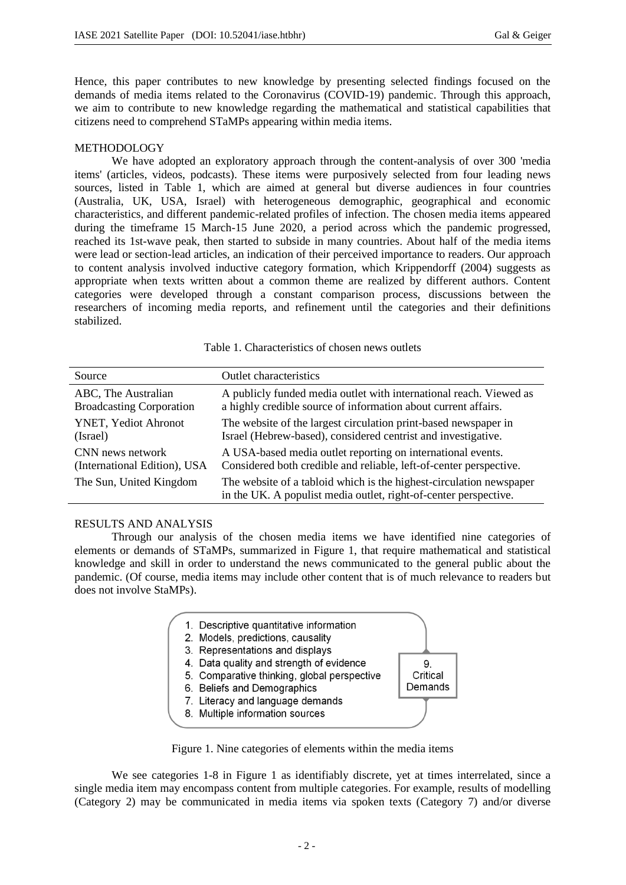Hence, this paper contributes to new knowledge by presenting selected findings focused on the demands of media items related to the Coronavirus (COVID-19) pandemic. Through this approach, we aim to contribute to new knowledge regarding the mathematical and statistical capabilities that citizens need to comprehend STaMPs appearing within media items.

# METHODOLOGY

We have adopted an exploratory approach through the content-analysis of over 300 'media items' (articles, videos, podcasts). These items were purposively selected from four leading news sources, listed in Table 1, which are aimed at general but diverse audiences in four countries (Australia, UK, USA, Israel) with heterogeneous demographic, geographical and economic characteristics, and different pandemic-related profiles of infection. The chosen media items appeared during the timeframe 15 March-15 June 2020, a period across which the pandemic progressed, reached its 1st-wave peak, then started to subside in many countries. About half of the media items were lead or section-lead articles, an indication of their perceived importance to readers. Our approach to content analysis involved inductive category formation, which Krippendorff (2004) suggests as appropriate when texts written about a common theme are realized by different authors. Content categories were developed through a constant comparison process, discussions between the researchers of incoming media reports, and refinement until the categories and their definitions stabilized.

| Source                          | <b>Outlet characteristics</b>                                                                                                           |
|---------------------------------|-----------------------------------------------------------------------------------------------------------------------------------------|
| ABC, The Australian             | A publicly funded media outlet with international reach. Viewed as                                                                      |
| <b>Broadcasting Corporation</b> | a highly credible source of information about current affairs.                                                                          |
| YNET, Yediot Ahronot            | The website of the largest circulation print-based newspaper in                                                                         |
| (Israel)                        | Israel (Hebrew-based), considered centrist and investigative.                                                                           |
| CNN news network                | A USA-based media outlet reporting on international events.                                                                             |
| (International Edition), USA    | Considered both credible and reliable, left-of-center perspective.                                                                      |
| The Sun, United Kingdom         | The website of a tabloid which is the highest-circulation newspaper<br>in the UK. A populist media outlet, right-of-center perspective. |

Table 1. Characteristics of chosen news outlets

# RESULTS AND ANALYSIS

Through our analysis of the chosen media items we have identified nine categories of elements or demands of STaMPs, summarized in Figure 1, that require mathematical and statistical knowledge and skill in order to understand the news communicated to the general public about the pandemic. (Of course, media items may include other content that is of much relevance to readers but does not involve StaMPs).



Figure 1. Nine categories of elements within the media items

We see categories 1-8 in Figure 1 as identifiably discrete, yet at times interrelated, since a single media item may encompass content from multiple categories. For example, results of modelling (Category 2) may be communicated in media items via spoken texts (Category 7) and/or diverse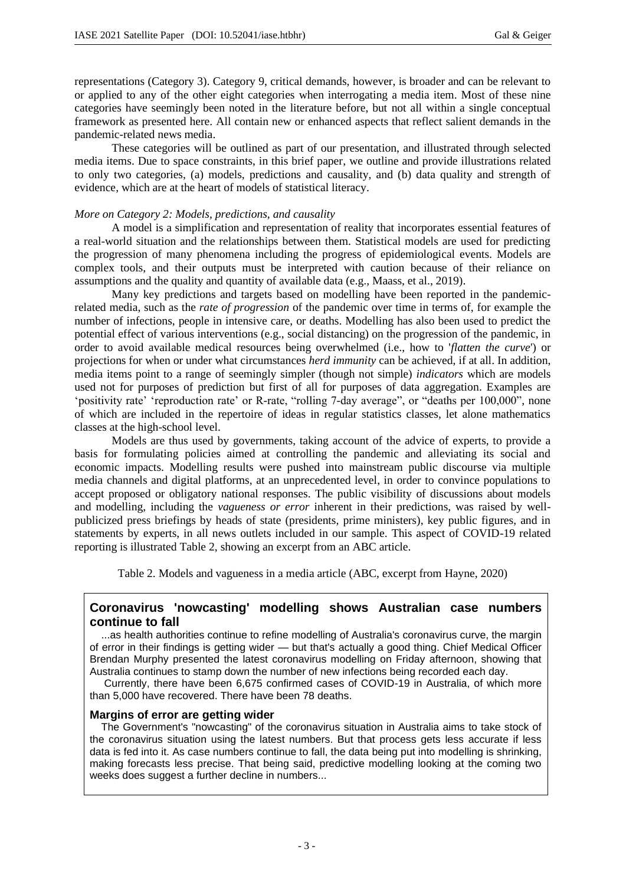representations (Category 3). Category 9, critical demands, however, is broader and can be relevant to or applied to any of the other eight categories when interrogating a media item. Most of these nine categories have seemingly been noted in the literature before, but not all within a single conceptual framework as presented here. All contain new or enhanced aspects that reflect salient demands in the pandemic-related news media.

These categories will be outlined as part of our presentation, and illustrated through selected media items. Due to space constraints, in this brief paper, we outline and provide illustrations related to only two categories, (a) models, predictions and causality, and (b) data quality and strength of evidence, which are at the heart of models of statistical literacy.

### *More on Category 2: Models, predictions, and causality*

A model is a simplification and representation of reality that incorporates essential features of a real-world situation and the relationships between them. Statistical models are used for predicting the progression of many phenomena including the progress of epidemiological events. Models are complex tools, and their outputs must be interpreted with caution because of their reliance on assumptions and the quality and quantity of available data (e.g., Maass, et al., 2019).

Many key predictions and targets based on modelling have been reported in the pandemicrelated media, such as the *rate of progression* of the pandemic over time in terms of, for example the number of infections, people in intensive care, or deaths. Modelling has also been used to predict the potential effect of various interventions (e.g., social distancing) on the progression of the pandemic, in order to avoid available medical resources being overwhelmed (i.e., how to '*flatten the curve*') or projections for when or under what circumstances *herd immunity* can be achieved, if at all. In addition, media items point to a range of seemingly simpler (though not simple) *indicators* which are models used not for purposes of prediction but first of all for purposes of data aggregation. Examples are 'positivity rate' 'reproduction rate' or R-rate, "rolling 7-day average", or "deaths per 100,000", none of which are included in the repertoire of ideas in regular statistics classes, let alone mathematics classes at the high-school level.

Models are thus used by governments, taking account of the advice of experts, to provide a basis for formulating policies aimed at controlling the pandemic and alleviating its social and economic impacts. Modelling results were pushed into mainstream public discourse via multiple media channels and digital platforms, at an unprecedented level, in order to convince populations to accept proposed or obligatory national responses. The public visibility of discussions about models and modelling, including the *vagueness or error* inherent in their predictions, was raised by wellpublicized press briefings by heads of state (presidents, prime ministers), key public figures, and in statements by experts, in all news outlets included in our sample. This aspect of COVID-19 related reporting is illustrated Table 2, showing an excerpt from an ABC article.

Table 2. Models and vagueness in a media article (ABC, excerpt from Hayne, 2020)

# **Coronavirus 'nowcasting' modelling shows Australian case numbers continue to fall**

 ...as health authorities continue to refine modelling of Australia's coronavirus curve, the margin of error in their findings is getting wider — but that's actually a good thing. Chief Medical Officer Brendan Murphy presented the latest coronavirus modelling on Friday afternoon, showing that Australia continues to stamp down the number of new infections being recorded each day.

 Currently, there have been 6,675 confirmed cases of COVID-19 in Australia, of which more than 5,000 have recovered. There have been 78 deaths.

### **Margins of error are getting wider**

 The Government's "nowcasting" of the coronavirus situation in Australia aims to take stock of the coronavirus situation using the latest numbers. But that process gets less accurate if less data is fed into it. As case numbers continue to fall, the data being put into modelling is shrinking, making forecasts less precise. That being said, predictive modelling looking at the coming two weeks does suggest a further decline in numbers...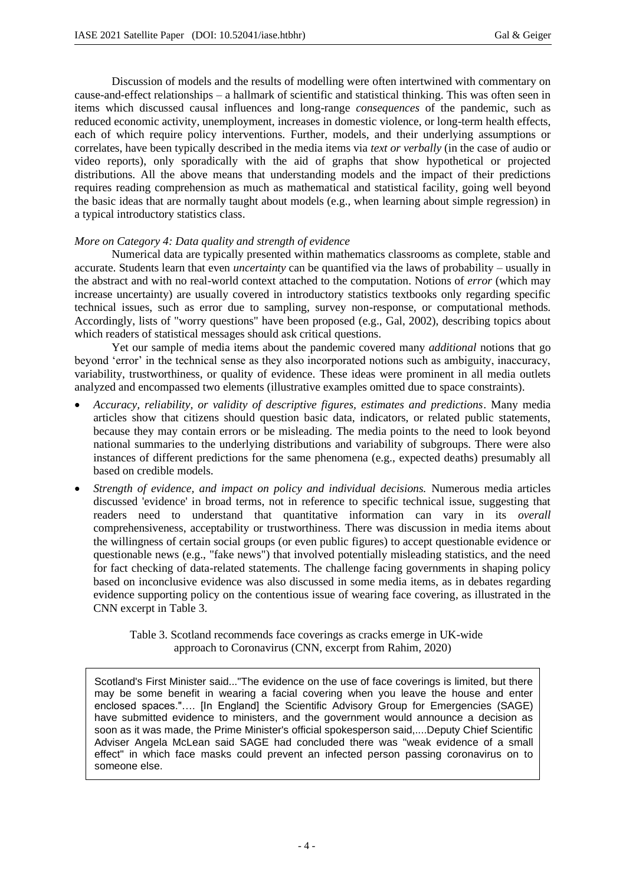Discussion of models and the results of modelling were often intertwined with commentary on cause-and-effect relationships – a hallmark of scientific and statistical thinking. This was often seen in items which discussed causal influences and long-range *consequences* of the pandemic, such as reduced economic activity, unemployment, increases in domestic violence, or long-term health effects, each of which require policy interventions. Further, models, and their underlying assumptions or correlates, have been typically described in the media items via *text or verbally* (in the case of audio or video reports), only sporadically with the aid of graphs that show hypothetical or projected distributions. All the above means that understanding models and the impact of their predictions requires reading comprehension as much as mathematical and statistical facility, going well beyond the basic ideas that are normally taught about models (e.g., when learning about simple regression) in a typical introductory statistics class.

## *More on Category 4: Data quality and strength of evidence*

Numerical data are typically presented within mathematics classrooms as complete, stable and accurate. Students learn that even *uncertainty* can be quantified via the laws of probability – usually in the abstract and with no real-world context attached to the computation. Notions of *error* (which may increase uncertainty) are usually covered in introductory statistics textbooks only regarding specific technical issues, such as error due to sampling, survey non-response, or computational methods. Accordingly, lists of "worry questions" have been proposed (e.g., Gal, 2002), describing topics about which readers of statistical messages should ask critical questions.

Yet our sample of media items about the pandemic covered many *additional* notions that go beyond 'error' in the technical sense as they also incorporated notions such as ambiguity, inaccuracy, variability, trustworthiness, or quality of evidence. These ideas were prominent in all media outlets analyzed and encompassed two elements (illustrative examples omitted due to space constraints).

- *Accuracy, reliability, or validity of descriptive figures, estimates and predictions*. Many media articles show that citizens should question basic data, indicators, or related public statements, because they may contain errors or be misleading. The media points to the need to look beyond national summaries to the underlying distributions and variability of subgroups. There were also instances of different predictions for the same phenomena (e.g., expected deaths) presumably all based on credible models.
- *Strength of evidence, and impact on policy and individual decisions.* Numerous media articles discussed 'evidence' in broad terms, not in reference to specific technical issue, suggesting that readers need to understand that quantitative information can vary in its *overall* comprehensiveness, acceptability or trustworthiness. There was discussion in media items about the willingness of certain social groups (or even public figures) to accept questionable evidence or questionable news (e.g., "fake news") that involved potentially misleading statistics, and the need for fact checking of data-related statements. The challenge facing governments in shaping policy based on inconclusive evidence was also discussed in some media items, as in debates regarding evidence supporting policy on the contentious issue of wearing face covering, as illustrated in the CNN excerpt in Table 3.

Table 3. Scotland recommends face coverings as cracks emerge in UK-wide approach to Coronavirus (CNN, excerpt from Rahim, 2020)

Scotland's First Minister said..."The evidence on the use of face coverings is limited, but there may be some benefit in wearing a facial covering when you leave the house and enter enclosed spaces."…. [In England] the Scientific Advisory Group for Emergencies (SAGE) have submitted evidence to ministers, and the government would announce a decision as soon as it was made, the Prime Minister's official spokesperson said,....Deputy Chief Scientific Adviser Angela McLean said SAGE had concluded there was "weak evidence of a small effect" in which face masks could prevent an infected person passing coronavirus on to someone else.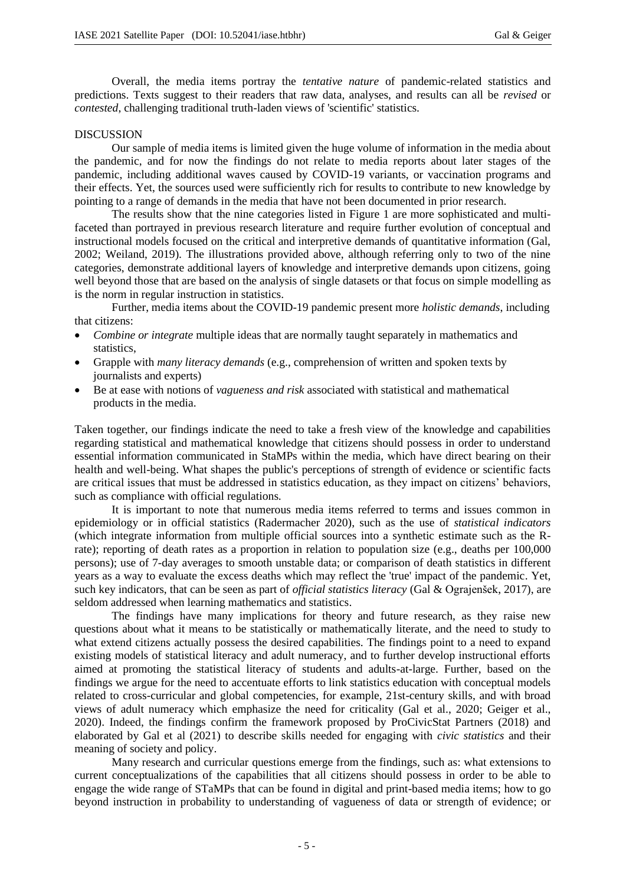Overall, the media items portray the *tentative nature* of pandemic-related statistics and predictions. Texts suggest to their readers that raw data, analyses, and results can all be *revised* or *contested*, challenging traditional truth-laden views of 'scientific' statistics.

## DISCUSSION

Our sample of media items is limited given the huge volume of information in the media about the pandemic, and for now the findings do not relate to media reports about later stages of the pandemic, including additional waves caused by COVID-19 variants, or vaccination programs and their effects. Yet, the sources used were sufficiently rich for results to contribute to new knowledge by pointing to a range of demands in the media that have not been documented in prior research.

The results show that the nine categories listed in Figure 1 are more sophisticated and multifaceted than portrayed in previous research literature and require further evolution of conceptual and instructional models focused on the critical and interpretive demands of quantitative information (Gal, 2002; Weiland, 2019). The illustrations provided above, although referring only to two of the nine categories, demonstrate additional layers of knowledge and interpretive demands upon citizens, going well beyond those that are based on the analysis of single datasets or that focus on simple modelling as is the norm in regular instruction in statistics.

Further, media items about the COVID-19 pandemic present more *holistic demands*, including that citizens:

- *Combine or integrate* multiple ideas that are normally taught separately in mathematics and statistics,
- Grapple with *many literacy demands* (e.g., comprehension of written and spoken texts by journalists and experts)
- Be at ease with notions of *vagueness and risk* associated with statistical and mathematical products in the media.

Taken together, our findings indicate the need to take a fresh view of the knowledge and capabilities regarding statistical and mathematical knowledge that citizens should possess in order to understand essential information communicated in StaMPs within the media, which have direct bearing on their health and well-being. What shapes the public's perceptions of strength of evidence or scientific facts are critical issues that must be addressed in statistics education, as they impact on citizens' behaviors, such as compliance with official regulations.

It is important to note that numerous media items referred to terms and issues common in epidemiology or in official statistics (Radermacher 2020), such as the use of *statistical indicators*  (which integrate information from multiple official sources into a synthetic estimate such as the Rrate); reporting of death rates as a proportion in relation to population size (e.g., deaths per 100,000 persons); use of 7-day averages to smooth unstable data; or comparison of death statistics in different years as a way to evaluate the excess deaths which may reflect the 'true' impact of the pandemic. Yet, such key indicators, that can be seen as part of *official statistics literacy* (Gal & Ograjenšek, 2017), are seldom addressed when learning mathematics and statistics.

The findings have many implications for theory and future research, as they raise new questions about what it means to be statistically or mathematically literate, and the need to study to what extend citizens actually possess the desired capabilities. The findings point to a need to expand existing models of statistical literacy and adult numeracy, and to further develop instructional efforts aimed at promoting the statistical literacy of students and adults-at-large. Further, based on the findings we argue for the need to accentuate efforts to link statistics education with conceptual models related to cross-curricular and global competencies, for example, 21st-century skills, and with broad views of adult numeracy which emphasize the need for criticality (Gal et al., 2020; Geiger et al., 2020). Indeed, the findings confirm the framework proposed by ProCivicStat Partners (2018) and elaborated by Gal et al (2021) to describe skills needed for engaging with *civic statistics* and their meaning of society and policy.

Many research and curricular questions emerge from the findings, such as: what extensions to current conceptualizations of the capabilities that all citizens should possess in order to be able to engage the wide range of STaMPs that can be found in digital and print-based media items; how to go beyond instruction in probability to understanding of vagueness of data or strength of evidence; or